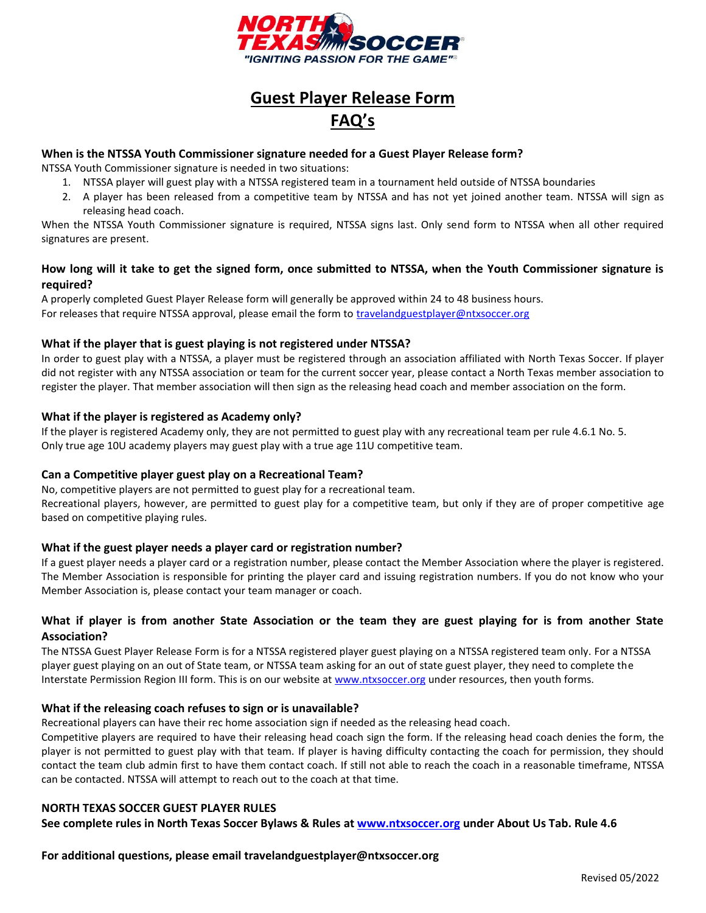

# **Guest Player Release Form FAQ's**

#### **When is the NTSSA Youth Commissioner signature needed for a Guest Player Release form?**

NTSSA Youth Commissioner signature is needed in two situations:

- 1. NTSSA player will guest play with a NTSSA registered team in a tournament held outside of NTSSA boundaries
- 2. A player has been released from a competitive team by NTSSA and has not yet joined another team. NTSSA will sign as releasing head coach.

When the NTSSA Youth Commissioner signature is required, NTSSA signs last. Only send form to NTSSA when all other required signatures are present.

## **How long will it take to get the signed form, once submitted to NTSSA, when the Youth Commissioner signature is required?**

A properly completed Guest Player Release form will generally be approved within 24 to 48 business hours. For releases that require NTSSA approval, please email the form to [travelandguestplayer@ntxsoccer.org](mailto:travelandguestplayer@ntxsoccer.org)

## **What if the player that is guest playing is not registered under NTSSA?**

In order to guest play with a NTSSA, a player must be registered through an association affiliated with North Texas Soccer. If player did not register with any NTSSA association or team for the current soccer year, please contact a North Texas member association to register the player. That member association will then sign as the releasing head coach and member association on the form.

## **What if the player is registered as Academy only?**

If the player is registered Academy only, they are not permitted to guest play with any recreational team per rule 4.6.1 No. 5. Only true age 10U academy players may guest play with a true age 11U competitive team.

#### **Can a Competitive player guest play on a Recreational Team?**

No, competitive players are not permitted to guest play for a recreational team. Recreational players, however, are permitted to guest play for a competitive team, but only if they are of proper competitive age based on competitive playing rules.

#### **What if the guest player needs a player card or registration number?**

If a guest player needs a player card or a registration number, please contact the Member Association where the player is registered. The Member Association is responsible for printing the player card and issuing registration numbers. If you do not know who your Member Association is, please contact your team manager or coach.

## **What if player is from another State Association or the team they are guest playing for is from another State Association?**

The NTSSA Guest Player Release Form is for a NTSSA registered player guest playing on a NTSSA registered team only. For a NTSSA player guest playing on an out of State team, or NTSSA team asking for an out of state guest player, they need to complete the Interstate Permission Region III form. This is on our website at [www.ntxsoccer.org](http://www.ntxsoccer.org/) under resources, then youth forms.

#### **What if the releasing coach refuses to sign or is unavailable?**

Recreational players can have their rec home association sign if needed as the releasing head coach.

Competitive players are required to have their releasing head coach sign the form. If the releasing head coach denies the form, the player is not permitted to guest play with that team. If player is having difficulty contacting the coach for permission, they should contact the team club admin first to have them contact coach. If still not able to reach the coach in a reasonable timeframe, NTSSA can be contacted. NTSSA will attempt to reach out to the coach at that time.

#### **NORTH TEXAS SOCCER GUEST PLAYER RULES**

**See complete rules in North Texas Soccer Bylaws & Rules at [www.ntxsoccer.org](http://www.ntxsoccer.org/) under About Us Tab. Rule 4.6**

**For additional questions, please email travelandguestplayer@ntxsoccer.org**